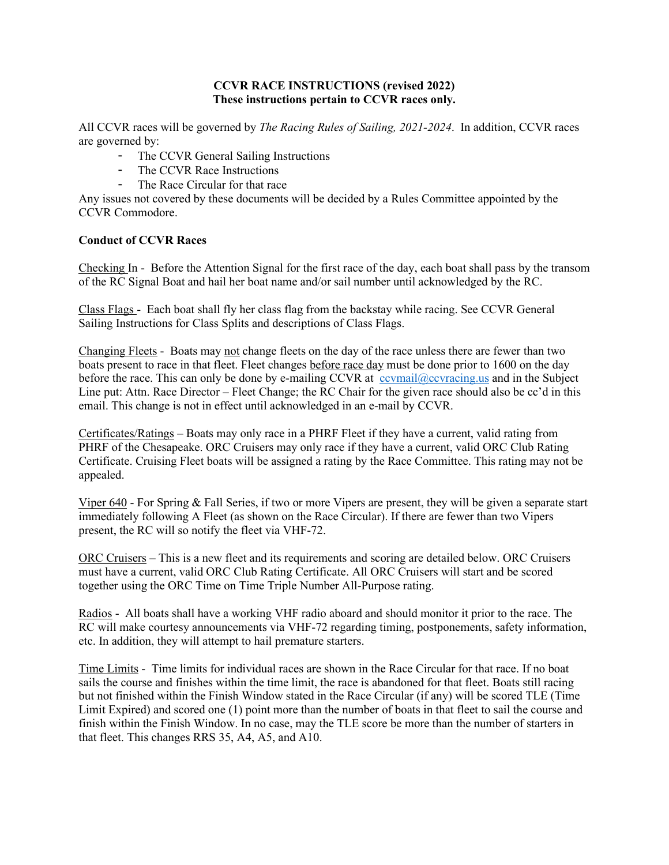#### **CCVR RACE INSTRUCTIONS (revised 2022) These instructions pertain to CCVR races only.**

All CCVR races will be governed by *The Racing Rules of Sailing, 2021-2024*. In addition, CCVR races are governed by:

- The CCVR General Sailing Instructions
- The CCVR Race Instructions
- The Race Circular for that race

Any issues not covered by these documents will be decided by a Rules Committee appointed by the CCVR Commodore.

#### **Conduct of CCVR Races**

Checking In - Before the Attention Signal for the first race of the day, each boat shall pass by the transom of the RC Signal Boat and hail her boat name and/or sail number until acknowledged by the RC.

Class Flags - Each boat shall fly her class flag from the backstay while racing. See CCVR General Sailing Instructions for Class Splits and descriptions of Class Flags.

Changing Fleets - Boats may not change fleets on the day of the race unless there are fewer than two boats present to race in that fleet. Fleet changes before race day must be done prior to 1600 on the day before the race. This can only be done by e-mailing CCVR at covmail@ccvracing.us and in the Subject Line put: Attn. Race Director – Fleet Change; the RC Chair for the given race should also be cc'd in this email. This change is not in effect until acknowledged in an e-mail by CCVR.

Certificates/Ratings – Boats may only race in a PHRF Fleet if they have a current, valid rating from PHRF of the Chesapeake. ORC Cruisers may only race if they have a current, valid ORC Club Rating Certificate. Cruising Fleet boats will be assigned a rating by the Race Committee. This rating may not be appealed.

Viper 640 - For Spring & Fall Series, if two or more Vipers are present, they will be given a separate start immediately following A Fleet (as shown on the Race Circular). If there are fewer than two Vipers present, the RC will so notify the fleet via VHF-72.

ORC Cruisers – This is a new fleet and its requirements and scoring are detailed below. ORC Cruisers must have a current, valid ORC Club Rating Certificate. All ORC Cruisers will start and be scored together using the ORC Time on Time Triple Number All-Purpose rating.

Radios - All boats shall have a working VHF radio aboard and should monitor it prior to the race. The RC will make courtesy announcements via VHF-72 regarding timing, postponements, safety information, etc. In addition, they will attempt to hail premature starters.

Time Limits - Time limits for individual races are shown in the Race Circular for that race. If no boat sails the course and finishes within the time limit, the race is abandoned for that fleet. Boats still racing but not finished within the Finish Window stated in the Race Circular (if any) will be scored TLE (Time Limit Expired) and scored one (1) point more than the number of boats in that fleet to sail the course and finish within the Finish Window. In no case, may the TLE score be more than the number of starters in that fleet. This changes RRS 35, A4, A5, and A10.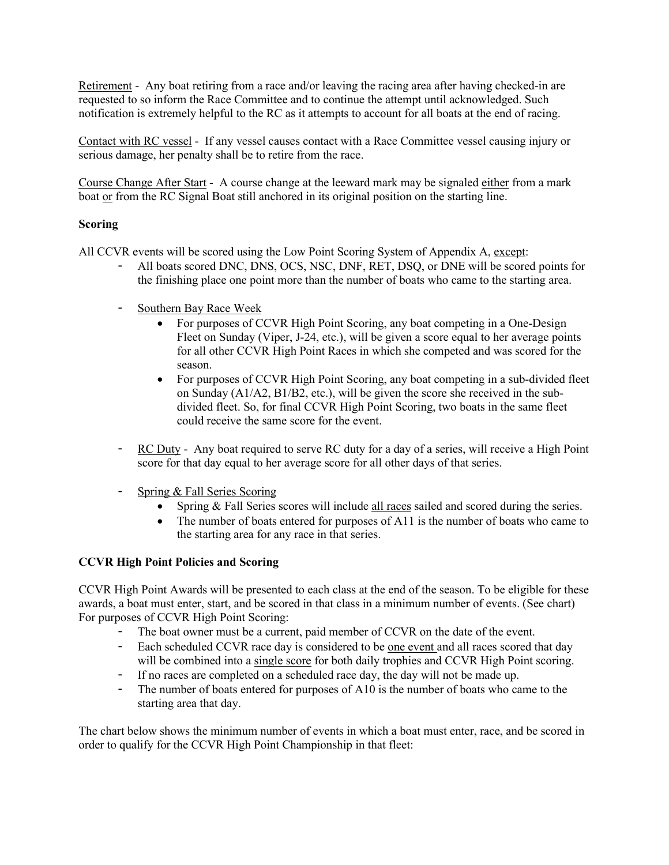Retirement - Any boat retiring from a race and/or leaving the racing area after having checked-in are requested to so inform the Race Committee and to continue the attempt until acknowledged. Such notification is extremely helpful to the RC as it attempts to account for all boats at the end of racing.

Contact with RC vessel - If any vessel causes contact with a Race Committee vessel causing injury or serious damage, her penalty shall be to retire from the race.

Course Change After Start - A course change at the leeward mark may be signaled either from a mark boat or from the RC Signal Boat still anchored in its original position on the starting line.

## **Scoring**

All CCVR events will be scored using the Low Point Scoring System of Appendix A, except:

- All boats scored DNC, DNS, OCS, NSC, DNF, RET, DSQ, or DNE will be scored points for the finishing place one point more than the number of boats who came to the starting area.
- Southern Bay Race Week
	- For purposes of CCVR High Point Scoring, any boat competing in a One-Design Fleet on Sunday (Viper, J-24, etc.), will be given a score equal to her average points for all other CCVR High Point Races in which she competed and was scored for the season.
	- For purposes of CCVR High Point Scoring, any boat competing in a sub-divided fleet on Sunday (A1/A2, B1/B2, etc.), will be given the score she received in the subdivided fleet. So, for final CCVR High Point Scoring, two boats in the same fleet could receive the same score for the event.
- RC Duty Any boat required to serve RC duty for a day of a series, will receive a High Point score for that day equal to her average score for all other days of that series.
- Spring & Fall Series Scoring
	- Spring & Fall Series scores will include all races sailed and scored during the series.
	- The number of boats entered for purposes of A11 is the number of boats who came to the starting area for any race in that series.

# **CCVR High Point Policies and Scoring**

CCVR High Point Awards will be presented to each class at the end of the season. To be eligible for these awards, a boat must enter, start, and be scored in that class in a minimum number of events. (See chart) For purposes of CCVR High Point Scoring:

- The boat owner must be a current, paid member of CCVR on the date of the event.
- Each scheduled CCVR race day is considered to be one event and all races scored that day will be combined into a single score for both daily trophies and CCVR High Point scoring.
- If no races are completed on a scheduled race day, the day will not be made up.
- The number of boats entered for purposes of A10 is the number of boats who came to the starting area that day.

The chart below shows the minimum number of events in which a boat must enter, race, and be scored in order to qualify for the CCVR High Point Championship in that fleet: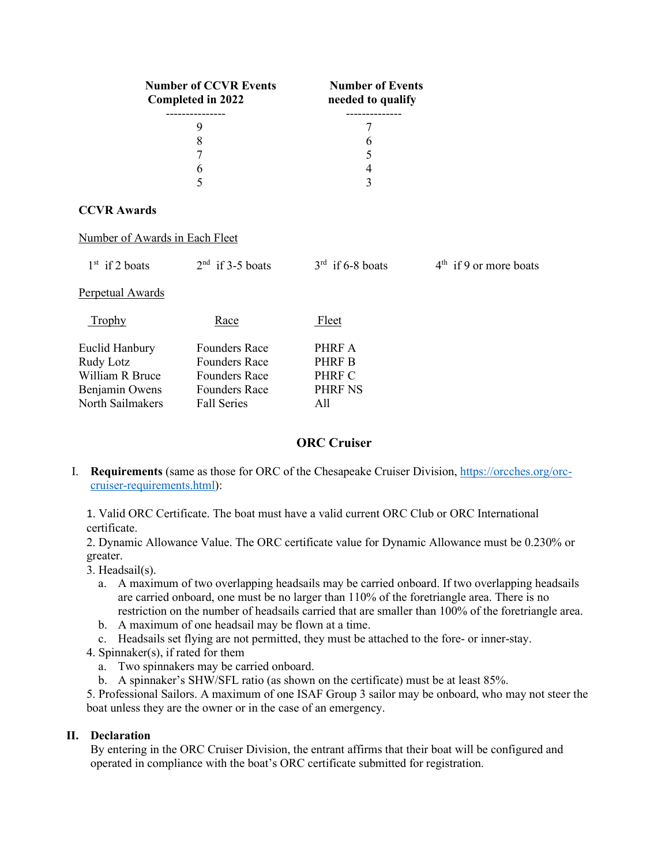| <b>Number of CCVR Events</b><br>Completed in 2022 | <b>Number of Events</b><br>needed to qualify |  |
|---------------------------------------------------|----------------------------------------------|--|
|                                                   |                                              |  |
|                                                   |                                              |  |
|                                                   |                                              |  |
|                                                   |                                              |  |
|                                                   |                                              |  |
|                                                   |                                              |  |

# **CCVR Awards**

#### Number of Awards in Each Fleet

| $1st$ if 2 boats                                                                     | $2nd$ if 3-5 boats                                                                                                 | $3rd$ if 6-8 boats                                  | $4th$ if 9 or more boats |
|--------------------------------------------------------------------------------------|--------------------------------------------------------------------------------------------------------------------|-----------------------------------------------------|--------------------------|
| Perpetual Awards                                                                     |                                                                                                                    |                                                     |                          |
| <b>Trophy</b>                                                                        | Race                                                                                                               | Fleet                                               |                          |
| Euclid Hanbury<br>Rudy Lotz<br>William R Bruce<br>Benjamin Owens<br>North Sailmakers | <b>Founders Race</b><br><b>Founders Race</b><br><b>Founders Race</b><br><b>Founders Race</b><br><b>Fall Series</b> | PHRF A<br>PHRF B<br>PHRF C<br><b>PHRF NS</b><br>All |                          |

# **ORC Cruiser**

I. **Requirements** (same as those for ORC of the Chesapeake Cruiser Division, [https://orcches.org/orc](https://orcches.org/orc-cruiser-requirements.html)[cruiser-requirements.html\)](https://orcches.org/orc-cruiser-requirements.html):

1. Valid ORC Certificate. The boat must have a valid current ORC Club or ORC International certificate.

2. Dynamic Allowance Value. The ORC certificate value for Dynamic Allowance must be 0.230% or greater.

- 3. Headsail(s).
	- a. A maximum of two overlapping headsails may be carried onboard. If two overlapping headsails are carried onboard, one must be no larger than 110% of the foretriangle area. There is no restriction on the number of headsails carried that are smaller than 100% of the foretriangle area.
	- b. A maximum of one headsail may be flown at a time.
	- c. Headsails set flying are not permitted, they must be attached to the fore- or inner-stay.
- 4. Spinnaker(s), if rated for them
	- a. Two spinnakers may be carried onboard.
	- b. A spinnaker's SHW/SFL ratio (as shown on the certificate) must be at least 85%.

5. Professional Sailors. A maximum of one ISAF Group 3 sailor may be onboard, who may not steer the boat unless they are the owner or in the case of an emergency.

### **II. Declaration**

By entering in the ORC Cruiser Division, the entrant affirms that their boat will be configured and operated in compliance with the boat's ORC certificate submitted for registration.